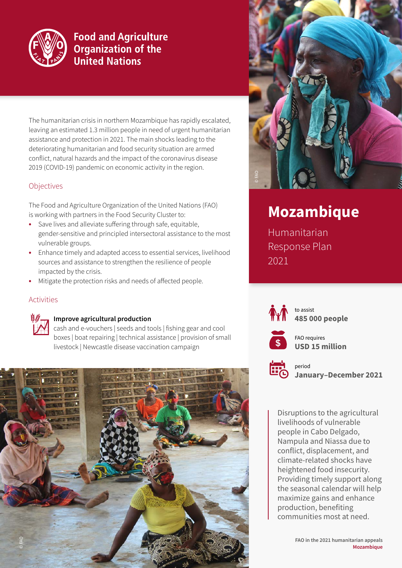

# **Food and Agriculture Organization of the United Nations**

The humanitarian crisis in northern Mozambique has rapidly escalated, leaving an estimated 1.3 million people in need of urgent humanitarian assistance and protection in 2021. The main shocks leading to the deteriorating humanitarian and food security situation are armed conflict, natural hazards and the impact of the coronavirus disease 2019 (COVID-19) pandemic on economic activity in the region.

# **Objectives**

The Food and Agriculture Organization of the United Nations (FAO) is working with partners in the Food Security Cluster to:

- **•** Save lives and alleviate suffering through safe, equitable, gender-sensitive and principled intersectoral assistance to the most vulnerable groups.
- **•** Enhance timely and adapted access to essential services, livelihood sources and assistance to strengthen the resilience of people impacted by the crisis.
- **•** Mitigate the protection risks and needs of affected people.

# Activities



### **Improve agricultural production**

cash and e-vouchers | seeds and tools | fishing gear and cool boxes | boat repairing | technical assistance | provision of small livestock | Newcastle disease vaccination campaign





# **Mozambique**

Humanitarian Response Plan 2021



to assist **485 000 people** 



FAO requires **USD 15 million**



period **January–December 2021**

Disruptions to the agricultural livelihoods of vulnerable people in Cabo Delgado, Nampula and Niassa due to conflict, displacement, and climate-related shocks have heightened food insecurity. Providing timely support along the seasonal calendar will help maximize gains and enhance production, benefiting communities most at need.